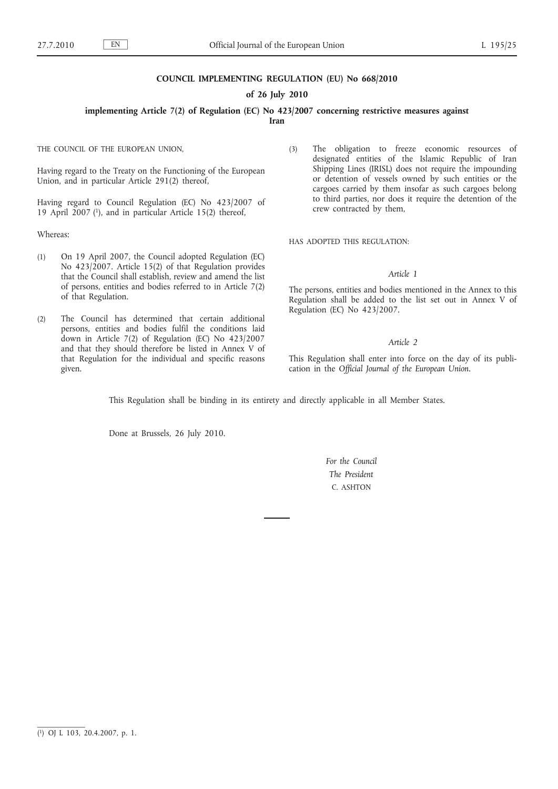#### **COUNCIL IMPLEMENTING REGULATION (EU) No 668/2010**

#### **of 26 July 2010**

**implementing Article 7(2) of Regulation (EC) No 423/2007 concerning restrictive measures against** 

**Iran**

THE COUNCIL OF THE EUROPEAN UNION,

Having regard to the Treaty on the Functioning of the European Union, and in particular Article 291(2) thereof,

Having regard to Council Regulation (EC) No 423/2007 of 19 April 2007 (1), and in particular Article 15(2) thereof,

Whereas:

- (1) On 19 April 2007, the Council adopted Regulation (EC) No 423/2007. Article 15(2) of that Regulation provides that the Council shall establish, review and amend the list of persons, entities and bodies referred to in Article 7(2) of that Regulation.
- (2) The Council has determined that certain additional persons, entities and bodies fulfil the conditions laid down in Article 7(2) of Regulation (EC) No 423/2007 and that they should therefore be listed in Annex V of that Regulation for the individual and specific reasons given.

(3) The obligation to freeze economic resources of designated entities of the Islamic Republic of Iran Shipping Lines (IRISL) does not require the impounding or detention of vessels owned by such entities or the cargoes carried by them insofar as such cargoes belong to third parties, nor does it require the detention of the crew contracted by them,

HAS ADOPTED THIS REGULATION:

#### *Article 1*

The persons, entities and bodies mentioned in the Annex to this Regulation shall be added to the list set out in Annex V of Regulation (EC) No 423/2007.

### *Article 2*

This Regulation shall enter into force on the day of its publication in the *Official Journal of the European Union*.

This Regulation shall be binding in its entirety and directly applicable in all Member States.

Done at Brussels, 26 July 2010.

*For the Council The President* C. ASHTON

<sup>(</sup> 1) OJ L 103, 20.4.2007, p. 1.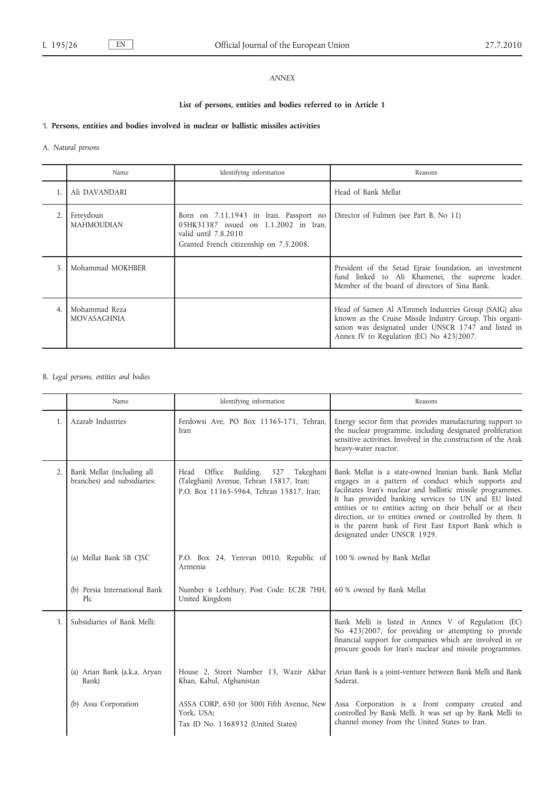## *ANNEX*

## **List of persons, entities and bodies referred to in Article 1**

### 'I. **Persons, entities and bodies involved in nuclear or ballistic missiles activities**

### A. *Natural persons*

|                | Name                                | Identifying information                                                                                                                            | Reasons                                                                                                                                                                                                               |
|----------------|-------------------------------------|----------------------------------------------------------------------------------------------------------------------------------------------------|-----------------------------------------------------------------------------------------------------------------------------------------------------------------------------------------------------------------------|
|                | Ali DAVANDARI                       |                                                                                                                                                    | Head of Bank Mellat                                                                                                                                                                                                   |
|                | Fereydoun<br><b>MAHMOUDIAN</b>      | Born on 7.11.1943 in Iran. Passport no<br>05HK31387 issued on 1.1.2002 in Iran,<br>valid until 7.8.2010<br>Granted French citizenship on 7.5.2008. | Director of Fulmen (see Part B, No 11)                                                                                                                                                                                |
| 3              | Mohammad MOKHBER                    |                                                                                                                                                    | President of the Setad Ejraie foundation, an investment<br>fund linked to Ali Khamenei, the supreme leader.<br>Member of the board of directors of Sina Bank.                                                         |
| $\overline{4}$ | Mohammad Reza<br><b>MOVASAGHNIA</b> |                                                                                                                                                    | Head of Samen Al A'Emmeh Industries Group (SAIG) also<br>known as the Cruise Missile Industry Group. This organi-<br>sation was designated under UNSCR 1747 and listed in<br>Annex IV to Regulation (EC) No 423/2007. |

## B. *Legal persons, entities and bodies*

|    | Name                                                      | Identifying information                                                                                                                | Reasons                                                                                                                                                                                                                                                                                                                                                                                                                                                  |
|----|-----------------------------------------------------------|----------------------------------------------------------------------------------------------------------------------------------------|----------------------------------------------------------------------------------------------------------------------------------------------------------------------------------------------------------------------------------------------------------------------------------------------------------------------------------------------------------------------------------------------------------------------------------------------------------|
| 1. | Azarab Industries                                         | Ferdowsi Ave, PO Box 11365-171, Tehran,<br>Iran                                                                                        | Energy sector firm that provides manufacturing support to<br>the nuclear programme, including designated proliferation<br>sensitive activities. Involved in the construction of the Arak<br>heavy-water reactor.                                                                                                                                                                                                                                         |
| 2. | Bank Mellat (including all<br>branches) and subsidiaries: | Office<br>Building,<br>327<br>Takeghani<br>Head<br>(Taleghani) Avenue, Tehran 15817, Iran;<br>P.O. Box 11365-5964, Tehran 15817, Iran; | Bank Mellat is a state-owned Iranian bank, Bank Mellat<br>engages in a pattern of conduct which supports and<br>facilitates Iran's nuclear and ballistic missile programmes.<br>It has provided banking services to UN and EU listed<br>entities or to entities acting on their behalf or at their<br>direction, or to entities owned or controlled by them. It<br>is the parent bank of First East Export Bank which is<br>designated under UNSCR 1929. |
|    | (a) Mellat Bank SB CJSC                                   | P.O. Box 24, Yerevan 0010, Republic of<br>Armenia                                                                                      | 100 % owned by Bank Mellat                                                                                                                                                                                                                                                                                                                                                                                                                               |
|    | (b) Persia International Bank<br>Plc                      | Number 6 Lothbury, Post Code: EC2R 7HH,<br>United Kingdom                                                                              | 60 % owned by Bank Mellat                                                                                                                                                                                                                                                                                                                                                                                                                                |
| 3. | Subsidiaries of Bank Melli:                               |                                                                                                                                        | Bank Melli is listed in Annex V of Regulation (EC)<br>No 423/2007, for providing or attempting to provide<br>financial support for companies which are involved in or<br>procure goods for Iran's nuclear and missile programmes.                                                                                                                                                                                                                        |
|    | (a) Arian Bank (a.k.a. Aryan<br>Bank)                     | House 2, Street Number 13, Wazir Akbar<br>Khan, Kabul, Afghanistan                                                                     | Arian Bank is a joint-venture between Bank Melli and Bank<br>Saderat.                                                                                                                                                                                                                                                                                                                                                                                    |
|    | (b) Assa Corporation                                      | ASSA CORP, 650 (or 500) Fifth Avenue, New<br>York, USA;<br>Tax ID No. 1368932 (United States)                                          | Assa Corporation is a front company created and<br>controlled by Bank Melli. It was set up by Bank Melli to<br>channel money from the United States to Iran.                                                                                                                                                                                                                                                                                             |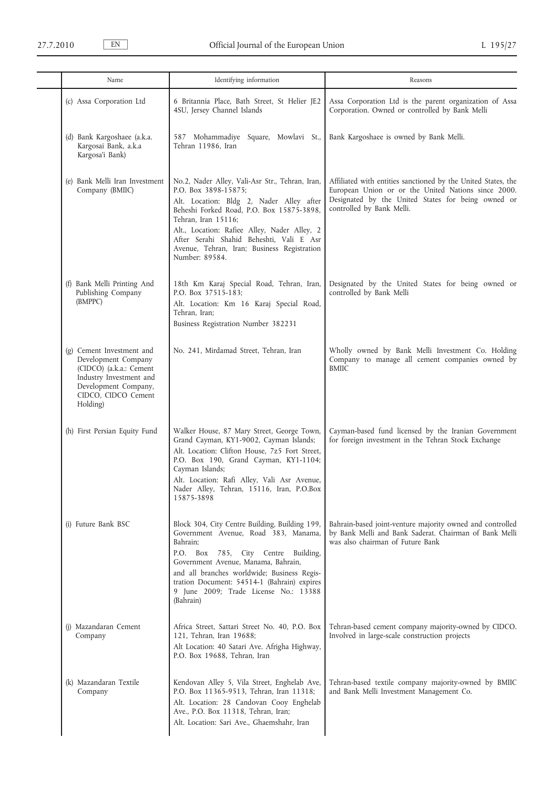| Name                                                                                                                                                              | Identifying information                                                                                                                                                                                                                                                                                                                              | Reasons                                                                                                                                                                                                 |
|-------------------------------------------------------------------------------------------------------------------------------------------------------------------|------------------------------------------------------------------------------------------------------------------------------------------------------------------------------------------------------------------------------------------------------------------------------------------------------------------------------------------------------|---------------------------------------------------------------------------------------------------------------------------------------------------------------------------------------------------------|
| (c) Assa Corporation Ltd                                                                                                                                          | 6 Britannia Place, Bath Street, St Helier JE2<br>4SU, Jersey Channel Islands                                                                                                                                                                                                                                                                         | Assa Corporation Ltd is the parent organization of Assa<br>Corporation. Owned or controlled by Bank Melli                                                                                               |
| (d) Bank Kargoshaee (a.k.a.<br>Kargosai Bank, a.k.a<br>Kargosa'i Bank)                                                                                            | 587 Mohammadiye Square, Mowlavi St.,<br>Tehran 11986, Iran                                                                                                                                                                                                                                                                                           | Bank Kargoshaee is owned by Bank Melli.                                                                                                                                                                 |
| (e) Bank Melli Iran Investment<br>Company (BMIIC)                                                                                                                 | No.2, Nader Alley, Vali-Asr Str., Tehran, Iran,<br>P.O. Box 3898-15875;<br>Alt. Location: Bldg 2, Nader Alley after<br>Beheshi Forked Road, P.O. Box 15875-3898,<br>Tehran, Iran 15116;<br>Alt., Location: Rafiee Alley, Nader Alley, 2<br>After Serahi Shahid Beheshti, Vali E Asr<br>Avenue, Tehran, Iran; Business Registration<br>Number: 89584. | Affiliated with entities sanctioned by the United States, the<br>European Union or or the United Nations since 2000.<br>Designated by the United States for being owned or<br>controlled by Bank Melli. |
| (f) Bank Melli Printing And<br>Publishing Company<br>(BMPPC)                                                                                                      | 18th Km Karaj Special Road, Tehran, Iran,<br>P.O. Box 37515-183;<br>Alt. Location: Km 16 Karaj Special Road,<br>Tehran, Iran;<br>Business Registration Number 382231                                                                                                                                                                                 | Designated by the United States for being owned or<br>controlled by Bank Melli                                                                                                                          |
| (g) Cement Investment and<br>Development Company<br>(CIDCO) (a.k.a.: Cement<br>Industry Investment and<br>Development Company,<br>CIDCO, CIDCO Cement<br>Holding) | No. 241, Mirdamad Street, Tehran, Iran                                                                                                                                                                                                                                                                                                               | Wholly owned by Bank Melli Investment Co. Holding<br>Company to manage all cement companies owned by<br><b>BMIIC</b>                                                                                    |
| (h) First Persian Equity Fund                                                                                                                                     | Walker House, 87 Mary Street, George Town,<br>Grand Cayman, KY1-9002, Cayman Islands;<br>Alt. Location: Clifton House, 7z5 Fort Street,<br>P.O. Box 190, Grand Cayman, KY1-1104;<br>Cayman Islands;<br>Alt. Location: Rafi Alley, Vali Asr Avenue,<br>Nader Alley, Tehran, 15116, Iran, P.O.Box<br>15875-3898                                        | Cayman-based fund licensed by the Iranian Government<br>for foreign investment in the Tehran Stock Exchange                                                                                             |
| (i) Future Bank BSC                                                                                                                                               | Block 304, City Centre Building, Building 199,<br>Government Avenue, Road 383, Manama,<br>Bahrain;<br>P.O. Box<br>785, City Centre Building,<br>Government Avenue, Manama, Bahrain,<br>and all branches worldwide; Business Regis-<br>tration Document: 54514-1 (Bahrain) expires<br>9 June 2009; Trade License No.: 13388<br>(Bahrain)              | Bahrain-based joint-venture majority owned and controlled<br>by Bank Melli and Bank Saderat. Chairman of Bank Melli<br>was also chairman of Future Bank                                                 |
| (j) Mazandaran Cement<br>Company                                                                                                                                  | Africa Street, Sattari Street No. 40, P.O. Box<br>121, Tehran, Iran 19688;<br>Alt Location: 40 Satari Ave. Afrigha Highway,<br>P.O. Box 19688, Tehran, Iran                                                                                                                                                                                          | Tehran-based cement company majority-owned by CIDCO.<br>Involved in large-scale construction projects                                                                                                   |
| (k) Mazandaran Textile<br>Company                                                                                                                                 | Kendovan Alley 5, Vila Street, Enghelab Ave,<br>P.O. Box 11365-9513, Tehran, Iran 11318;<br>Alt. Location: 28 Candovan Cooy Enghelab<br>Ave., P.O. Box 11318, Tehran, Iran;<br>Alt. Location: Sari Ave., Ghaemshahr, Iran                                                                                                                            | Tehran-based textile company majority-owned by BMIIC<br>and Bank Melli Investment Management Co.                                                                                                        |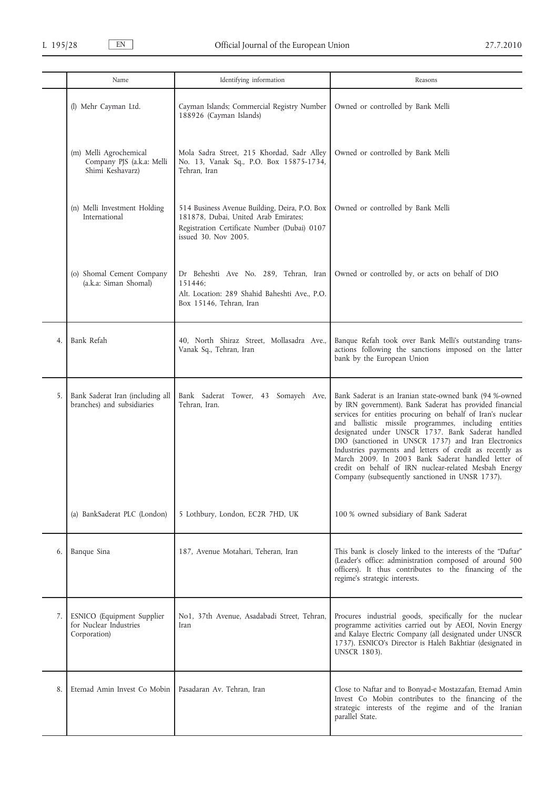|    | Name                                                                    | Identifying information                                                                                                                                       | Reasons                                                                                                                                                                                                                                                                                                                                                                                                                                                                                                                                                                             |
|----|-------------------------------------------------------------------------|---------------------------------------------------------------------------------------------------------------------------------------------------------------|-------------------------------------------------------------------------------------------------------------------------------------------------------------------------------------------------------------------------------------------------------------------------------------------------------------------------------------------------------------------------------------------------------------------------------------------------------------------------------------------------------------------------------------------------------------------------------------|
|    | (l) Mehr Cayman Ltd.                                                    | Cayman Islands; Commercial Registry Number<br>188926 (Cayman Islands)                                                                                         | Owned or controlled by Bank Melli                                                                                                                                                                                                                                                                                                                                                                                                                                                                                                                                                   |
|    | (m) Melli Agrochemical<br>Company PJS (a.k.a: Melli<br>Shimi Keshavarz) | Mola Sadra Street, 215 Khordad, Sadr Alley<br>No. 13, Vanak Sq., P.O. Box 15875-1734,<br>Tehran, Iran                                                         | Owned or controlled by Bank Melli                                                                                                                                                                                                                                                                                                                                                                                                                                                                                                                                                   |
|    | (n) Melli Investment Holding<br>International                           | 514 Business Avenue Building, Deira, P.O. Box<br>181878, Dubai, United Arab Emirates;<br>Registration Certificate Number (Dubai) 0107<br>issued 30. Nov 2005. | Owned or controlled by Bank Melli                                                                                                                                                                                                                                                                                                                                                                                                                                                                                                                                                   |
|    | (o) Shomal Cement Company<br>(a.k.a: Siman Shomal)                      | Dr Beheshti Ave No. 289, Tehran, Iran<br>151446:<br>Alt. Location: 289 Shahid Baheshti Ave., P.O.<br>Box 15146, Tehran, Iran                                  | Owned or controlled by, or acts on behalf of DIO                                                                                                                                                                                                                                                                                                                                                                                                                                                                                                                                    |
| 4. | Bank Refah                                                              | 40, North Shiraz Street, Mollasadra Ave.,<br>Vanak Sq., Tehran, Iran                                                                                          | Banque Refah took over Bank Melli's outstanding trans-<br>actions following the sanctions imposed on the latter<br>bank by the European Union                                                                                                                                                                                                                                                                                                                                                                                                                                       |
| 5. | Bank Saderat Iran (including all<br>branches) and subsidiaries          | Bank Saderat Tower, 43 Somayeh Ave,<br>Tehran, Iran.                                                                                                          | Bank Saderat is an Iranian state-owned bank (94 %-owned<br>by IRN government). Bank Saderat has provided financial<br>services for entities procuring on behalf of Iran's nuclear<br>and ballistic missile programmes, including entities<br>designated under UNSCR 1737. Bank Saderat handled<br>DIO (sanctioned in UNSCR 1737) and Iran Electronics<br>Industries payments and letters of credit as recently as<br>March 2009. In 2003 Bank Saderat handled letter of<br>credit on behalf of IRN nuclear-related Mesbah Energy<br>Company (subsequently sanctioned in UNSR 1737). |
|    | (a) BankSaderat PLC (London)                                            | 5 Lothbury, London, EC2R 7HD, UK                                                                                                                              | 100 % owned subsidiary of Bank Saderat                                                                                                                                                                                                                                                                                                                                                                                                                                                                                                                                              |
| 6. | Banque Sina                                                             | 187, Avenue Motahari, Teheran, Iran                                                                                                                           | This bank is closely linked to the interests of the "Daftar"<br>(Leader's office: administration composed of around 500<br>officers). It thus contributes to the financing of the<br>regime's strategic interests.                                                                                                                                                                                                                                                                                                                                                                  |
| 7. | ESNICO (Equipment Supplier<br>for Nuclear Industries<br>Corporation)    | No1, 37th Avenue, Asadabadi Street, Tehran,<br>Iran                                                                                                           | Procures industrial goods, specifically for the nuclear<br>programme activities carried out by AEOI, Novin Energy<br>and Kalaye Electric Company (all designated under UNSCR<br>1737). ESNICO's Director is Haleh Bakhtiar (designated in<br><b>UNSCR 1803).</b>                                                                                                                                                                                                                                                                                                                    |
| 8. | Etemad Amin Invest Co Mobin                                             | Pasadaran Av. Tehran, Iran                                                                                                                                    | Close to Naftar and to Bonyad-e Mostazafan, Etemad Amin<br>Invest Co Mobin contributes to the financing of the<br>strategic interests of the regime and of the Iranian<br>parallel State.                                                                                                                                                                                                                                                                                                                                                                                           |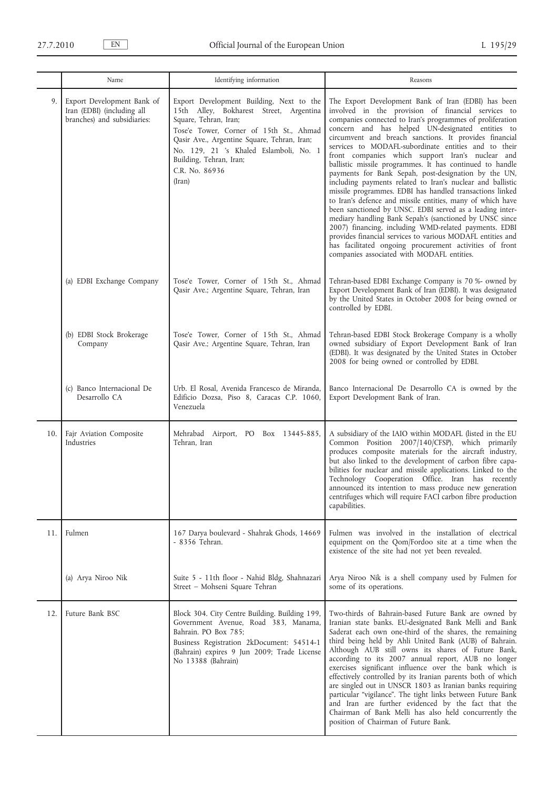|     | Name                                                                                    | Identifying information                                                                                                                                                                                                                                                                                 | Reasons                                                                                                                                                                                                                                                                                                                                                                                                                                                                                                                                                                                                                                                                                                                                                                                                                                                                                                                                                                                                                                                             |
|-----|-----------------------------------------------------------------------------------------|---------------------------------------------------------------------------------------------------------------------------------------------------------------------------------------------------------------------------------------------------------------------------------------------------------|---------------------------------------------------------------------------------------------------------------------------------------------------------------------------------------------------------------------------------------------------------------------------------------------------------------------------------------------------------------------------------------------------------------------------------------------------------------------------------------------------------------------------------------------------------------------------------------------------------------------------------------------------------------------------------------------------------------------------------------------------------------------------------------------------------------------------------------------------------------------------------------------------------------------------------------------------------------------------------------------------------------------------------------------------------------------|
| 9.  | Export Development Bank of<br>Iran (EDBI) (including all<br>branches) and subsidiaries: | Export Development Building, Next to the<br>15th Alley, Bokharest Street, Argentina<br>Square, Tehran, Iran;<br>Tose'e Tower, Corner of 15th St., Ahmad<br>Qasir Ave., Argentine Square, Tehran, Iran;<br>No. 129, 21 's Khaled Eslamboli, No. 1<br>Building, Tehran, Iran;<br>C.R. No. 86936<br>(Iran) | The Export Development Bank of Iran (EDBI) has been<br>involved in the provision of financial services to<br>companies connected to Iran's programmes of proliferation<br>concern and has helped UN-designated entities to<br>circumvent and breach sanctions. It provides financial<br>services to MODAFL-subordinate entities and to their<br>front companies which support Iran's nuclear and<br>ballistic missile programmes. It has continued to handle<br>payments for Bank Sepah, post-designation by the UN,<br>including payments related to Iran's nuclear and ballistic<br>missile programmes. EDBI has handled transactions linked<br>to Iran's defence and missile entities, many of which have<br>been sanctioned by UNSC. EDBI served as a leading inter-<br>mediary handling Bank Sepah's (sanctioned by UNSC since<br>2007) financing, including WMD-related payments. EDBI<br>provides financial services to various MODAFL entities and<br>has facilitated ongoing procurement activities of front<br>companies associated with MODAFL entities. |
|     | (a) EDBI Exchange Company                                                               | Tose'e Tower, Corner of 15th St., Ahmad<br>Qasir Ave.; Argentine Square, Tehran, Iran                                                                                                                                                                                                                   | Tehran-based EDBI Exchange Company is 70 %- owned by<br>Export Development Bank of Iran (EDBI). It was designated<br>by the United States in October 2008 for being owned or<br>controlled by EDBI.                                                                                                                                                                                                                                                                                                                                                                                                                                                                                                                                                                                                                                                                                                                                                                                                                                                                 |
|     | (b) EDBI Stock Brokerage<br>Company                                                     | Tose'e Tower, Corner of 15th St., Ahmad<br>Qasir Ave.; Argentine Square, Tehran, Iran                                                                                                                                                                                                                   | Tehran-based EDBI Stock Brokerage Company is a wholly<br>owned subsidiary of Export Development Bank of Iran<br>(EDBI). It was designated by the United States in October<br>2008 for being owned or controlled by EDBI.                                                                                                                                                                                                                                                                                                                                                                                                                                                                                                                                                                                                                                                                                                                                                                                                                                            |
|     | (c) Banco Internacional De<br>Desarrollo CA                                             | Urb. El Rosal, Avenida Francesco de Miranda,<br>Edificio Dozsa, Piso 8, Caracas C.P. 1060,<br>Venezuela                                                                                                                                                                                                 | Banco Internacional De Desarrollo CA is owned by the<br>Export Development Bank of Iran.                                                                                                                                                                                                                                                                                                                                                                                                                                                                                                                                                                                                                                                                                                                                                                                                                                                                                                                                                                            |
| 10. | Fajr Aviation Composite<br>Industries                                                   | Mehrabad Airport, PO Box 13445-885,<br>Tehran, Iran                                                                                                                                                                                                                                                     | A subsidiary of the IAIO within MODAFL (listed in the EU<br>Common Position 2007/140/CFSP), which primarily<br>produces composite materials for the aircraft industry,<br>but also linked to the development of carbon fibre capa-<br>bilities for nuclear and missile applications. Linked to the<br>Technology Cooperation Office. Iran has recently<br>announced its intention to mass produce new generation<br>centrifuges which will require FACI carbon fibre production<br>capabilities.                                                                                                                                                                                                                                                                                                                                                                                                                                                                                                                                                                    |
| 11. | Fulmen                                                                                  | 167 Darya boulevard - Shahrak Ghods, 14669<br>- 8356 Tehran.                                                                                                                                                                                                                                            | Fulmen was involved in the installation of electrical<br>equipment on the Qom/Fordoo site at a time when the<br>existence of the site had not yet been revealed.                                                                                                                                                                                                                                                                                                                                                                                                                                                                                                                                                                                                                                                                                                                                                                                                                                                                                                    |
|     | (a) Arya Niroo Nik                                                                      | Suite 5 - 11th floor - Nahid Bldg, Shahnazari<br>Street - Mohseni Square Tehran                                                                                                                                                                                                                         | Arya Niroo Nik is a shell company used by Fulmen for<br>some of its operations.                                                                                                                                                                                                                                                                                                                                                                                                                                                                                                                                                                                                                                                                                                                                                                                                                                                                                                                                                                                     |
| 12. | Future Bank BSC                                                                         | Block 304. City Centre Building. Building 199,<br>Government Avenue, Road 383, Manama,<br>Bahrain. PO Box 785;<br>Business Registration 2kDocument: 54514-1<br>(Bahrain) expires 9 Jun 2009; Trade License<br>No 13388 (Bahrain)                                                                        | Two-thirds of Bahrain-based Future Bank are owned by<br>Iranian state banks. EU-designated Bank Melli and Bank<br>Saderat each own one-third of the shares, the remaining<br>third being held by Ahli United Bank (AUB) of Bahrain.<br>Although AUB still owns its shares of Future Bank,<br>according to its 2007 annual report, AUB no longer<br>exercises significant influence over the bank which is<br>effectively controlled by its Iranian parents both of which<br>are singled out in UNSCR 1803 as Iranian banks requiring<br>particular "vigilance". The tight links between Future Bank<br>and Iran are further evidenced by the fact that the<br>Chairman of Bank Melli has also held concurrently the<br>position of Chairman of Future Bank.                                                                                                                                                                                                                                                                                                         |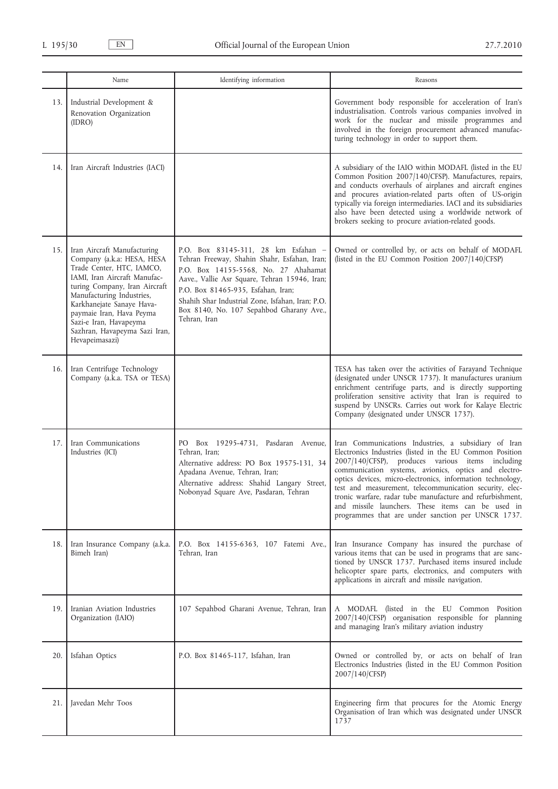|     | Name                                                                                                                                                                                                                                                                                                                       | Identifying information                                                                                                                                                                                                                                                                                                            | Reasons                                                                                                                                                                                                                                                                                                                                                                                                                                                                                                                       |
|-----|----------------------------------------------------------------------------------------------------------------------------------------------------------------------------------------------------------------------------------------------------------------------------------------------------------------------------|------------------------------------------------------------------------------------------------------------------------------------------------------------------------------------------------------------------------------------------------------------------------------------------------------------------------------------|-------------------------------------------------------------------------------------------------------------------------------------------------------------------------------------------------------------------------------------------------------------------------------------------------------------------------------------------------------------------------------------------------------------------------------------------------------------------------------------------------------------------------------|
| 13. | Industrial Development &<br>Renovation Organization<br>(IDRO)                                                                                                                                                                                                                                                              |                                                                                                                                                                                                                                                                                                                                    | Government body responsible for acceleration of Iran's<br>industrialisation. Controls various companies involved in<br>work for the nuclear and missile programmes and<br>involved in the foreign procurement advanced manufac-<br>turing technology in order to support them.                                                                                                                                                                                                                                                |
| 14. | Iran Aircraft Industries (IACI)                                                                                                                                                                                                                                                                                            |                                                                                                                                                                                                                                                                                                                                    | A subsidiary of the IAIO within MODAFL (listed in the EU<br>Common Position 2007/140/CFSP). Manufactures, repairs,<br>and conducts overhauls of airplanes and aircraft engines<br>and procures aviation-related parts often of US-origin<br>typically via foreign intermediaries. IACI and its subsidiaries<br>also have been detected using a worldwide network of<br>brokers seeking to procure aviation-related goods.                                                                                                     |
| 15. | Iran Aircraft Manufacturing<br>Company (a.k.a: HESA, HESA<br>Trade Center, HTC, IAMCO,<br>IAMI, Iran Aircraft Manufac-<br>turing Company, Iran Aircraft<br>Manufacturing Industries,<br>Karkhanejate Sanaye Hava-<br>paymaie Iran, Hava Peyma<br>Sazi-e Iran, Havapeyma<br>Sazhran, Havapeyma Sazi Iran,<br>Hevapeimasazi) | P.O. Box 83145-311, 28 km Esfahan -<br>Tehran Freeway, Shahin Shahr, Esfahan, Iran;<br>P.O. Box 14155-5568, No. 27 Ahahamat<br>Aave., Vallie Asr Square, Tehran 15946, Iran;<br>P.O. Box 81465-935, Esfahan, Iran;<br>Shahih Shar Industrial Zone, Isfahan, Iran; P.O.<br>Box 8140, No. 107 Sepahbod Gharany Ave.,<br>Tehran, Iran | Owned or controlled by, or acts on behalf of MODAFL<br>(listed in the EU Common Position 2007/140/CFSP)                                                                                                                                                                                                                                                                                                                                                                                                                       |
| 16. | Iran Centrifuge Technology<br>Company (a.k.a. TSA or TESA)                                                                                                                                                                                                                                                                 |                                                                                                                                                                                                                                                                                                                                    | TESA has taken over the activities of Farayand Technique<br>(designated under UNSCR 1737). It manufactures uranium<br>enrichment centrifuge parts, and is directly supporting<br>proliferation sensitive activity that Iran is required to<br>suspend by UNSCRs. Carries out work for Kalaye Electric<br>Company (designated under UNSCR 1737).                                                                                                                                                                               |
| 17. | Iran Communications<br>Industries (ICI)                                                                                                                                                                                                                                                                                    | PO Box 19295-4731, Pasdaran Avenue,<br>Tehran, Iran;<br>Alternative address: PO Box 19575-131, 34<br>Apadana Avenue, Tehran, Iran;<br>Alternative address: Shahid Langary Street,<br>Nobonyad Square Ave, Pasdaran, Tehran                                                                                                         | Iran Communications Industries, a subsidiary of Iran<br>Electronics Industries (listed in the EU Common Position<br>2007/140/CFSP), produces various items including<br>communication systems, avionics, optics and electro-<br>optics devices, micro-electronics, information technology,<br>test and measurement, telecommunication security, elec-<br>tronic warfare, radar tube manufacture and refurbishment,<br>and missile launchers. These items can be used in<br>programmes that are under sanction per UNSCR 1737. |
| 18. | Iran Insurance Company (a.k.a.<br>Bimeh Iran)                                                                                                                                                                                                                                                                              | P.O. Box 14155-6363, 107 Fatemi Ave.,<br>Tehran, Iran                                                                                                                                                                                                                                                                              | Iran Insurance Company has insured the purchase of<br>various items that can be used in programs that are sanc-<br>tioned by UNSCR 1737. Purchased items insured include<br>helicopter spare parts, electronics, and computers with<br>applications in aircraft and missile navigation.                                                                                                                                                                                                                                       |
| 19. | Iranian Aviation Industries<br>Organization (IAIO)                                                                                                                                                                                                                                                                         | 107 Sepahbod Gharani Avenue, Tehran, Iran                                                                                                                                                                                                                                                                                          | A MODAFL (listed in the EU Common Position<br>2007/140/CFSP) organisation responsible for planning<br>and managing Iran's military aviation industry                                                                                                                                                                                                                                                                                                                                                                          |
| 20. | Isfahan Optics                                                                                                                                                                                                                                                                                                             | P.O. Box 81465-117, Isfahan, Iran                                                                                                                                                                                                                                                                                                  | Owned or controlled by, or acts on behalf of Iran<br>Electronics Industries (listed in the EU Common Position<br>2007/140/CFSP)                                                                                                                                                                                                                                                                                                                                                                                               |
| 21. | Javedan Mehr Toos                                                                                                                                                                                                                                                                                                          |                                                                                                                                                                                                                                                                                                                                    | Engineering firm that procures for the Atomic Energy<br>Organisation of Iran which was designated under UNSCR<br>1737                                                                                                                                                                                                                                                                                                                                                                                                         |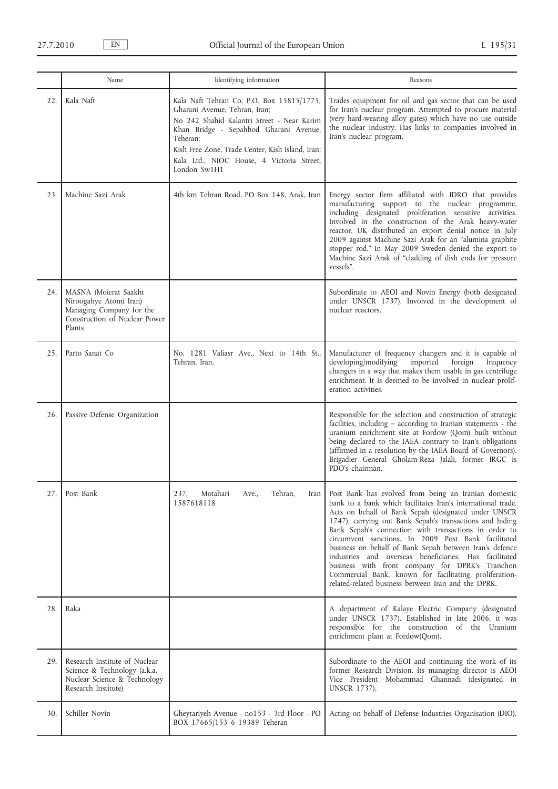|     | Name                                                                                                                   | Identifying information                                                                                                                                                                                                                                                                         | Reasons                                                                                                                                                                                                                                                                                                                                                                                                                                                                                                                                                                                                                                                  |
|-----|------------------------------------------------------------------------------------------------------------------------|-------------------------------------------------------------------------------------------------------------------------------------------------------------------------------------------------------------------------------------------------------------------------------------------------|----------------------------------------------------------------------------------------------------------------------------------------------------------------------------------------------------------------------------------------------------------------------------------------------------------------------------------------------------------------------------------------------------------------------------------------------------------------------------------------------------------------------------------------------------------------------------------------------------------------------------------------------------------|
| 22. | Kala Naft                                                                                                              | Kala Naft Tehran Co, P.O. Box 15815/1775,<br>Gharani Avenue, Tehran, Iran;<br>No 242 Shahid Kalantri Street - Near Karim<br>Khan Bridge - Sepahbod Gharani Avenue,<br>Teheran:<br>Kish Free Zone, Trade Center, Kish Island, Iran;<br>Kala Ltd., NIOC House, 4 Victoria Street,<br>London Sw1H1 | Trades equipment for oil and gas sector that can be used<br>for Iran's nuclear program. Attempted to procure material<br>(very hard-wearing alloy gates) which have no use outside<br>the nuclear industry. Has links to companies involved in<br>Iran's nuclear program.                                                                                                                                                                                                                                                                                                                                                                                |
| 23. | Machine Sazi Arak                                                                                                      | 4th km Tehran Road, PO Box 148, Arak, Iran                                                                                                                                                                                                                                                      | Energy sector firm affiliated with IDRO that provides<br>manufacturing support to the nuclear programme,<br>including designated proliferation sensitive activities.<br>Involved in the construction of the Arak heavy-water<br>reactor. UK distributed an export denial notice in July<br>2009 against Machine Sazi Arak for an "alumina graphite<br>stopper rod." In May 2009 Sweden denied the export to<br>Machine Sazi Arak of "cladding of dish ends for pressure<br>vessels".                                                                                                                                                                     |
| 24. | MASNA (Moierat Saakht<br>Niroogahye Atomi Iran)<br>Managing Company for the<br>Construction of Nuclear Power<br>Plants |                                                                                                                                                                                                                                                                                                 | Subordinate to AEOI and Novin Energy (both designated<br>under UNSCR 1737). Involved in the development of<br>nuclear reactors.                                                                                                                                                                                                                                                                                                                                                                                                                                                                                                                          |
| 25. | Parto Sanat Co                                                                                                         | No. 1281 Valiasr Ave., Next to 14th St.,<br>Tehran, Iran.                                                                                                                                                                                                                                       | Manufacturer of frequency changers and it is capable of<br>developing/modifying<br>imported<br>foreign<br>frequency<br>changers in a way that makes them usable in gas centrifuge<br>enrichment. It is deemed to be involved in nuclear prolif-<br>eration activities.                                                                                                                                                                                                                                                                                                                                                                                   |
| 26. | Passive Defense Organization                                                                                           |                                                                                                                                                                                                                                                                                                 | Responsible for the selection and construction of strategic<br>facilities, including - according to Iranian statements - the<br>uranium enrichment site at Fordow (Qom) built without<br>being declared to the IAEA contrary to Iran's obligations<br>(affirmed in a resolution by the IAEA Board of Governors).<br>Brigadier General Gholam-Reza Jalali, former IRGC is<br>PDO's chairman.                                                                                                                                                                                                                                                              |
| 27. | Post Bank                                                                                                              | Motahari<br>Tehran,<br>237,<br>Ave.,<br>1587618118                                                                                                                                                                                                                                              | Iran   Post Bank has evolved from being an Iranian domestic<br>bank to a bank which facilitates Iran's international trade.<br>Acts on behalf of Bank Sepah (designated under UNSCR<br>1747), carrying out Bank Sepah's transactions and hiding<br>Bank Sepah's connection with transactions in order to<br>circumvent sanctions. In 2009 Post Bank facilitated<br>business on behalf of Bank Sepah between Iran's defence<br>industries and overseas beneficiaries. Has facilitated<br>business with front company for DPRK's Tranchon<br>Commercial Bank, known for facilitating proliferation-<br>related-related business between Iran and the DPRK. |
| 28. | Raka                                                                                                                   |                                                                                                                                                                                                                                                                                                 | A department of Kalaye Electric Company (designated<br>under UNSCR 1737). Established in late 2006, it was<br>responsible for the construction of the Uranium<br>enrichment plant at Fordow(Qom).                                                                                                                                                                                                                                                                                                                                                                                                                                                        |
| 29. | Research Institute of Nuclear<br>Science & Technology (a.k.a.<br>Nuclear Science & Technology<br>Research Institute)   |                                                                                                                                                                                                                                                                                                 | Subordinate to the AEOI and continuing the work of its<br>former Research Division. Its managing director is AEOI<br>Vice President Mohammad Ghannadi (designated in<br>UNSCR 1737).                                                                                                                                                                                                                                                                                                                                                                                                                                                                     |
| 30. | Schiller Novin                                                                                                         | Gheytariyeh Avenue - no153 - 3rd Floor - PO<br>BOX 17665/153 6 19389 Teheran                                                                                                                                                                                                                    | Acting on behalf of Defense Industries Organisation (DIO).                                                                                                                                                                                                                                                                                                                                                                                                                                                                                                                                                                                               |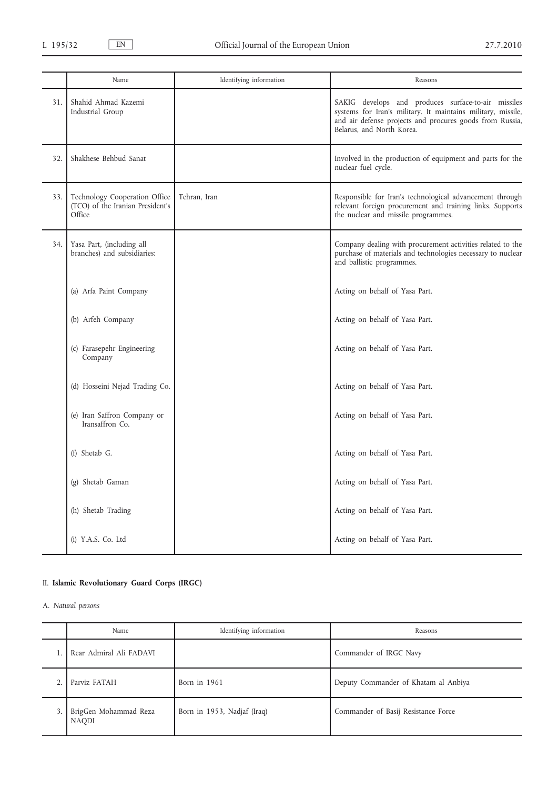|     | Name                                                                        | Identifying information | Reasons                                                                                                                                                                                                      |
|-----|-----------------------------------------------------------------------------|-------------------------|--------------------------------------------------------------------------------------------------------------------------------------------------------------------------------------------------------------|
| 31. | Shahid Ahmad Kazemi<br>Industrial Group                                     |                         | SAKIG develops and produces surface-to-air missiles<br>systems for Iran's military. It maintains military, missile,<br>and air defense projects and procures goods from Russia,<br>Belarus, and North Korea. |
| 32. | Shakhese Behbud Sanat                                                       |                         | Involved in the production of equipment and parts for the<br>nuclear fuel cycle.                                                                                                                             |
| 33. | Technology Cooperation Office<br>(TCO) of the Iranian President's<br>Office | Tehran, Iran            | Responsible for Iran's technological advancement through<br>relevant foreign procurement and training links. Supports<br>the nuclear and missile programmes.                                                 |
| 34. | Yasa Part, (including all<br>branches) and subsidiaries:                    |                         | Company dealing with procurement activities related to the<br>purchase of materials and technologies necessary to nuclear<br>and ballistic programmes.                                                       |
|     | (a) Arfa Paint Company                                                      |                         | Acting on behalf of Yasa Part.                                                                                                                                                                               |
|     | (b) Arfeh Company                                                           |                         | Acting on behalf of Yasa Part.                                                                                                                                                                               |
|     | (c) Farasepehr Engineering<br>Company                                       |                         | Acting on behalf of Yasa Part.                                                                                                                                                                               |
|     | (d) Hosseini Nejad Trading Co.                                              |                         | Acting on behalf of Yasa Part.                                                                                                                                                                               |
|     | (e) Iran Saffron Company or<br>Iransaffron Co.                              |                         | Acting on behalf of Yasa Part.                                                                                                                                                                               |
|     | (f) Shetab G.                                                               |                         | Acting on behalf of Yasa Part.                                                                                                                                                                               |
|     | (g) Shetab Gaman                                                            |                         | Acting on behalf of Yasa Part.                                                                                                                                                                               |
|     | (h) Shetab Trading                                                          |                         | Acting on behalf of Yasa Part.                                                                                                                                                                               |
|     | (i) Y.A.S. Co. Ltd                                                          |                         | Acting on behalf of Yasa Part.                                                                                                                                                                               |

# II. **Islamic Revolutionary Guard Corps (IRGC)**

A. *Natural persons*

| Name                                  | Identifying information     | Reasons                              |
|---------------------------------------|-----------------------------|--------------------------------------|
| Rear Admiral Ali FADAVI               |                             | Commander of IRGC Navy               |
| Parviz FATAH                          | Born in 1961                | Deputy Commander of Khatam al Anbiya |
| BrigGen Mohammad Reza<br><b>NAQDI</b> | Born in 1953, Nadjaf (Iraq) | Commander of Basij Resistance Force  |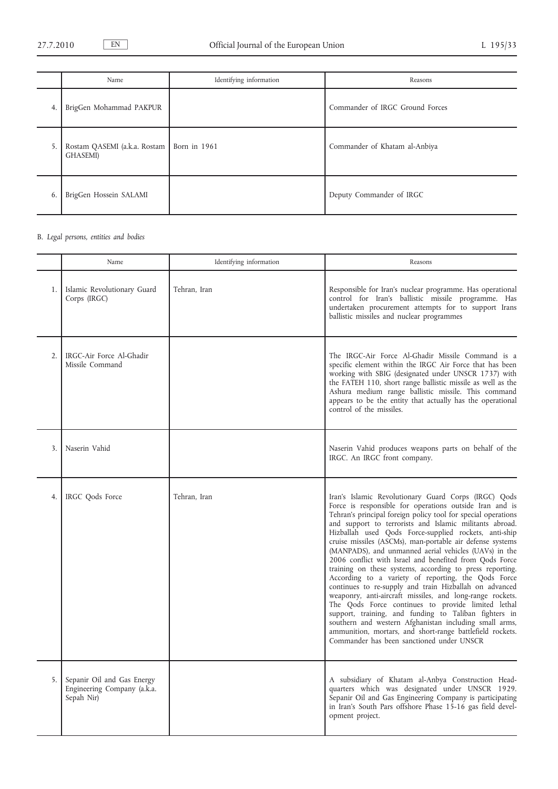|    | Name                                             | Identifying information | Reasons                         |
|----|--------------------------------------------------|-------------------------|---------------------------------|
| 4. | BrigGen Mohammad PAKPUR                          |                         | Commander of IRGC Ground Forces |
| 5. | Rostam QASEMI (a.k.a. Rostam<br><b>GHASEMI</b> ) | Born in 1961            | Commander of Khatam al-Anbiya   |
| 6. | BrigGen Hossein SALAMI                           |                         | Deputy Commander of IRGC        |

# B. *Legal persons, entities and bodies*

|                  | Name                                                                    | Identifying information | Reasons                                                                                                                                                                                                                                                                                                                                                                                                                                                                                                                                                                                                                                                                                                                                                                                                                                                                                                                                                                                                            |
|------------------|-------------------------------------------------------------------------|-------------------------|--------------------------------------------------------------------------------------------------------------------------------------------------------------------------------------------------------------------------------------------------------------------------------------------------------------------------------------------------------------------------------------------------------------------------------------------------------------------------------------------------------------------------------------------------------------------------------------------------------------------------------------------------------------------------------------------------------------------------------------------------------------------------------------------------------------------------------------------------------------------------------------------------------------------------------------------------------------------------------------------------------------------|
| 1.               | Islamic Revolutionary Guard<br>Corps (IRGC)                             | Tehran, Iran            | Responsible for Iran's nuclear programme. Has operational<br>control for Iran's ballistic missile programme. Has<br>undertaken procurement attempts for to support Irans<br>ballistic missiles and nuclear programmes                                                                                                                                                                                                                                                                                                                                                                                                                                                                                                                                                                                                                                                                                                                                                                                              |
| $\overline{2}$ . | IRGC-Air Force Al-Ghadir<br>Missile Command                             |                         | The IRGC-Air Force Al-Ghadir Missile Command is a<br>specific element within the IRGC Air Force that has been<br>working with SBIG (designated under UNSCR 1737) with<br>the FATEH 110, short range ballistic missile as well as the<br>Ashura medium range ballistic missile. This command<br>appears to be the entity that actually has the operational<br>control of the missiles.                                                                                                                                                                                                                                                                                                                                                                                                                                                                                                                                                                                                                              |
| 3.               | Naserin Vahid                                                           |                         | Naserin Vahid produces weapons parts on behalf of the<br>IRGC. An IRGC front company.                                                                                                                                                                                                                                                                                                                                                                                                                                                                                                                                                                                                                                                                                                                                                                                                                                                                                                                              |
| 4.               | IRGC Qods Force                                                         | Tehran. Iran            | Iran's Islamic Revolutionary Guard Corps (IRGC) Qods<br>Force is responsible for operations outside Iran and is<br>Tehran's principal foreign policy tool for special operations<br>and support to terrorists and Islamic militants abroad.<br>Hizballah used Qods Force-supplied rockets, anti-ship<br>cruise missiles (ASCMs), man-portable air defense systems<br>(MANPADS), and unmanned aerial vehicles (UAVs) in the<br>2006 conflict with Israel and benefited from Qods Force<br>training on these systems, according to press reporting.<br>According to a variety of reporting, the Qods Force<br>continues to re-supply and train Hizballah on advanced<br>weaponry, anti-aircraft missiles, and long-range rockets.<br>The Qods Force continues to provide limited lethal<br>support, training, and funding to Taliban fighters in<br>southern and western Afghanistan including small arms,<br>ammunition, mortars, and short-range battlefield rockets.<br>Commander has been sanctioned under UNSCR |
| 5.               | Sepanir Oil and Gas Energy<br>Engineering Company (a.k.a.<br>Sepah Nir) |                         | A subsidiary of Khatam al-Anbya Construction Head-<br>quarters which was designated under UNSCR 1929.<br>Sepanir Oil and Gas Engineering Company is participating<br>in Iran's South Pars offshore Phase 15-16 gas field devel-<br>opment project.                                                                                                                                                                                                                                                                                                                                                                                                                                                                                                                                                                                                                                                                                                                                                                 |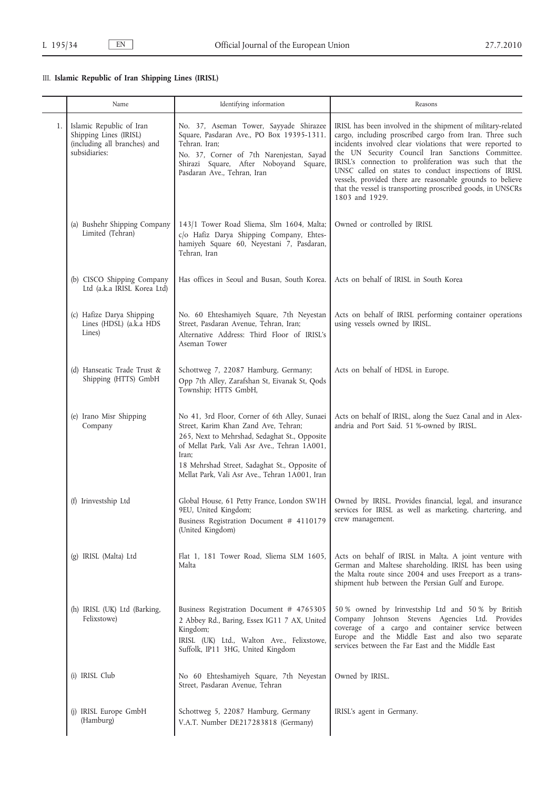# III. **Islamic Republic of Iran Shipping Lines (IRISL)**

|    | Name                                                                                                | Identifying information                                                                                                                                                                                                                                                                            | Reasons                                                                                                                                                                                                                                                                                                                                                                                                                                                                                                  |
|----|-----------------------------------------------------------------------------------------------------|----------------------------------------------------------------------------------------------------------------------------------------------------------------------------------------------------------------------------------------------------------------------------------------------------|----------------------------------------------------------------------------------------------------------------------------------------------------------------------------------------------------------------------------------------------------------------------------------------------------------------------------------------------------------------------------------------------------------------------------------------------------------------------------------------------------------|
| 1. | Islamic Republic of Iran<br>Shipping Lines (IRISL)<br>(including all branches) and<br>subsidiaries: | No. 37, Aseman Tower, Sayyade Shirazee<br>Square, Pasdaran Ave., PO Box 19395-1311.<br>Tehran. Iran;<br>No. 37, Corner of 7th Narenjestan, Sayad<br>Shirazi Square, After Noboyand Square,<br>Pasdaran Ave., Tehran, Iran                                                                          | IRISL has been involved in the shipment of military-related<br>cargo, including proscribed cargo from Iran. Three such<br>incidents involved clear violations that were reported to<br>the UN Security Council Iran Sanctions Committee.<br>IRISL's connection to proliferation was such that the<br>UNSC called on states to conduct inspections of IRISL<br>vessels, provided there are reasonable grounds to believe<br>that the vessel is transporting proscribed goods, in UNSCRs<br>1803 and 1929. |
|    | (a) Bushehr Shipping Company<br>Limited (Tehran)                                                    | 143/1 Tower Road Sliema, Slm 1604, Malta;<br>c/o Hafiz Darya Shipping Company, Ehtes-<br>hamiyeh Square 60, Neyestani 7, Pasdaran,<br>Tehran, Iran                                                                                                                                                 | Owned or controlled by IRISL                                                                                                                                                                                                                                                                                                                                                                                                                                                                             |
|    | (b) CISCO Shipping Company<br>Ltd (a.k.a IRISL Korea Ltd)                                           | Has offices in Seoul and Busan, South Korea.                                                                                                                                                                                                                                                       | Acts on behalf of IRISL in South Korea                                                                                                                                                                                                                                                                                                                                                                                                                                                                   |
|    | (c) Hafize Darya Shipping<br>Lines (HDSL) (a.k.a HDS<br>Lines)                                      | No. 60 Ehteshamiyeh Square, 7th Neyestan<br>Street, Pasdaran Avenue, Tehran, Iran;<br>Alternative Address: Third Floor of IRISL's<br>Aseman Tower                                                                                                                                                  | Acts on behalf of IRISL performing container operations<br>using vessels owned by IRISL.                                                                                                                                                                                                                                                                                                                                                                                                                 |
|    | (d) Hanseatic Trade Trust &<br>Shipping (HTTS) GmbH                                                 | Schottweg 7, 22087 Hamburg, Germany;<br>Opp 7th Alley, Zarafshan St, Eivanak St, Qods<br>Township; HTTS GmbH,                                                                                                                                                                                      | Acts on behalf of HDSL in Europe.                                                                                                                                                                                                                                                                                                                                                                                                                                                                        |
|    | (e) Irano Misr Shipping<br>Company                                                                  | No 41, 3rd Floor, Corner of 6th Alley, Sunaei<br>Street, Karim Khan Zand Ave, Tehran;<br>265, Next to Mehrshad, Sedaghat St., Opposite<br>of Mellat Park, Vali Asr Ave., Tehran 1A001,<br>Iran;<br>18 Mehrshad Street, Sadaghat St., Opposite of<br>Mellat Park, Vali Asr Ave., Tehran 1A001, Iran | Acts on behalf of IRISL, along the Suez Canal and in Alex-<br>andria and Port Said. 51 %-owned by IRISL.                                                                                                                                                                                                                                                                                                                                                                                                 |
|    | (f) Irinvestship Ltd                                                                                | Global House, 61 Petty France, London SW1H<br>9EU, United Kingdom;<br>Business Registration Document # 4110179<br>(United Kingdom)                                                                                                                                                                 | Owned by IRISL. Provides financial, legal, and insurance<br>services for IRISL as well as marketing, chartering, and<br>crew management.                                                                                                                                                                                                                                                                                                                                                                 |
|    | (g) IRISL (Malta) Ltd                                                                               | Flat 1, 181 Tower Road, Sliema SLM 1605,<br>Malta                                                                                                                                                                                                                                                  | Acts on behalf of IRISL in Malta. A joint venture with<br>German and Maltese shareholding. IRISL has been using<br>the Malta route since 2004 and uses Freeport as a trans-<br>shipment hub between the Persian Gulf and Europe.                                                                                                                                                                                                                                                                         |
|    | (h) IRISL (UK) Ltd (Barking,<br>Felixstowe)                                                         | Business Registration Document # 4765305<br>2 Abbey Rd., Baring, Essex IG11 7 AX, United<br>Kingdom;<br>IRISL (UK) Ltd., Walton Ave., Felixstowe,<br>Suffolk, IP11 3HG, United Kingdom                                                                                                             | 50 % owned by Irinvestship Ltd and 50 % by British<br>Company Johnson Stevens Agencies Ltd. Provides<br>coverage of a cargo and container service between<br>Europe and the Middle East and also two separate<br>services between the Far East and the Middle East                                                                                                                                                                                                                                       |
|    | (i) IRISL Club                                                                                      | No 60 Ehteshamiyeh Square, 7th Neyestan<br>Street, Pasdaran Avenue, Tehran                                                                                                                                                                                                                         | Owned by IRISL.                                                                                                                                                                                                                                                                                                                                                                                                                                                                                          |
|    | (j) IRISL Europe GmbH<br>(Hamburg)                                                                  | Schottweg 5, 22087 Hamburg, Germany<br>V.A.T. Number DE217283818 (Germany)                                                                                                                                                                                                                         | IRISL's agent in Germany.                                                                                                                                                                                                                                                                                                                                                                                                                                                                                |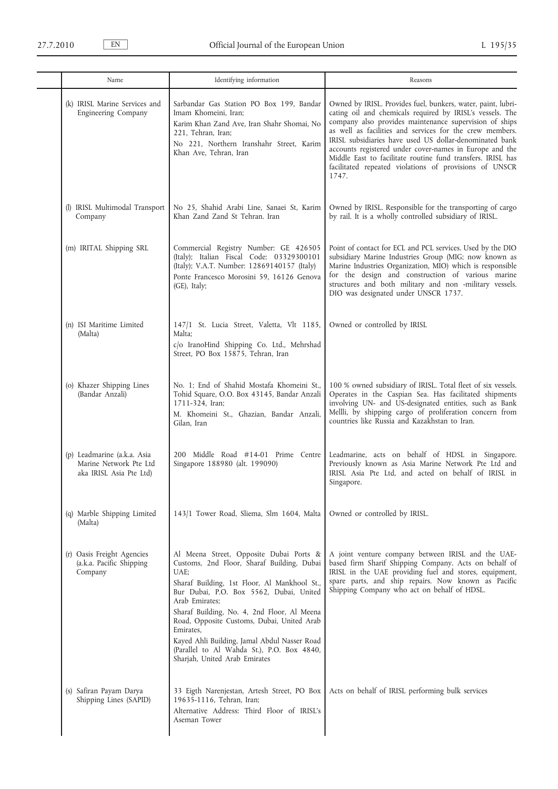| Name                                                                             | Identifying information                                                                                                                                                                                                                                                                                                                                                                                                                             | Reasons                                                                                                                                                                                                                                                                                                                                                                                                                                                                                                 |
|----------------------------------------------------------------------------------|-----------------------------------------------------------------------------------------------------------------------------------------------------------------------------------------------------------------------------------------------------------------------------------------------------------------------------------------------------------------------------------------------------------------------------------------------------|---------------------------------------------------------------------------------------------------------------------------------------------------------------------------------------------------------------------------------------------------------------------------------------------------------------------------------------------------------------------------------------------------------------------------------------------------------------------------------------------------------|
| (k) IRISL Marine Services and<br>Engineering Company                             | Sarbandar Gas Station PO Box 199, Bandar<br>Imam Khomeini, Iran;<br>Karim Khan Zand Ave, Iran Shahr Shomai, No<br>221, Tehran, Iran;<br>No 221, Northern Iranshahr Street, Karim<br>Khan Ave, Tehran, Iran                                                                                                                                                                                                                                          | Owned by IRISL. Provides fuel, bunkers, water, paint, lubri-<br>cating oil and chemicals required by IRISL's vessels. The<br>company also provides maintenance supervision of ships<br>as well as facilities and services for the crew members.<br>IRISL subsidiaries have used US dollar-denominated bank<br>accounts registered under cover-names in Europe and the<br>Middle East to facilitate routine fund transfers. IRISL has<br>facilitated repeated violations of provisions of UNSCR<br>1747. |
| (l) IRISL Multimodal Transport<br>Company                                        | No 25, Shahid Arabi Line, Sanaei St, Karim<br>Khan Zand Zand St Tehran. Iran                                                                                                                                                                                                                                                                                                                                                                        | Owned by IRISL. Responsible for the transporting of cargo<br>by rail. It is a wholly controlled subsidiary of IRISL.                                                                                                                                                                                                                                                                                                                                                                                    |
| (m) IRITAL Shipping SRL                                                          | Commercial Registry Number: GE 426505<br>(Italy); Italian Fiscal Code: 03329300101<br>(Italy); V.A.T. Number: 12869140157 (Italy)<br>Ponte Francesco Morosini 59, 16126 Genova<br>(GE), Italy;                                                                                                                                                                                                                                                      | Point of contact for ECL and PCL services. Used by the DIO<br>subsidiary Marine Industries Group (MIG; now known as<br>Marine Industries Organization, MIO) which is responsible<br>for the design and construction of various marine<br>structures and both military and non-military vessels.<br>DIO was designated under UNSCR 1737.                                                                                                                                                                 |
| (n) ISI Maritime Limited<br>(Malta)                                              | 147/1 St. Lucia Street, Valetta, Vlt 1185,<br>Malta;<br>c/o IranoHind Shipping Co. Ltd., Mehrshad<br>Street, PO Box 15875, Tehran, Iran                                                                                                                                                                                                                                                                                                             | Owned or controlled by IRISL                                                                                                                                                                                                                                                                                                                                                                                                                                                                            |
| (o) Khazer Shipping Lines<br>(Bandar Anzali)                                     | No. 1; End of Shahid Mostafa Khomeini St.,<br>Tohid Square, O.O. Box 43145, Bandar Anzali<br>1711-324, Iran;<br>M. Khomeini St., Ghazian, Bandar Anzali,<br>Gilan, Iran                                                                                                                                                                                                                                                                             | 100 % owned subsidiary of IRISL. Total fleet of six vessels.<br>Operates in the Caspian Sea. Has facilitated shipments<br>involving UN- and US-designated entities, such as Bank<br>Mellli, by shipping cargo of proliferation concern from<br>countries like Russia and Kazakhstan to Iran.                                                                                                                                                                                                            |
| (p) Leadmarine (a.k.a. Asia<br>Marine Network Pte Ltd<br>aka IRISL Asia Pte Ltd) | 200 Middle Road #14-01 Prime Centre<br>Singapore 188980 (alt. 199090)                                                                                                                                                                                                                                                                                                                                                                               | Leadmarine, acts on behalf of HDSL in Singapore.<br>Previously known as Asia Marine Network Pte Ltd and<br>IRISL Asia Pte Ltd, and acted on behalf of IRISL in<br>Singapore.                                                                                                                                                                                                                                                                                                                            |
| (q) Marble Shipping Limited<br>(Malta)                                           | 143/1 Tower Road, Sliema, Slm 1604, Malta                                                                                                                                                                                                                                                                                                                                                                                                           | Owned or controlled by IRISL.                                                                                                                                                                                                                                                                                                                                                                                                                                                                           |
| (r) Oasis Freight Agencies<br>(a.k.a. Pacific Shipping<br>Company                | Al Meena Street, Opposite Dubai Ports &<br>Customs, 2nd Floor, Sharaf Building, Dubai<br>UAE;<br>Sharaf Building, 1st Floor, Al Mankhool St.,<br>Bur Dubai, P.O. Box 5562, Dubai, United<br>Arab Emirates:<br>Sharaf Building, No. 4, 2nd Floor, Al Meena<br>Road, Opposite Customs, Dubai, United Arab<br>Emirates,<br>Kayed Ahli Building, Jamal Abdul Nasser Road<br>(Parallel to Al Wahda St.), P.O. Box 4840,<br>Sharjah, United Arab Emirates | A joint venture company between IRISL and the UAE-<br>based firm Sharif Shipping Company. Acts on behalf of<br>IRISL in the UAE providing fuel and stores, equipment,<br>spare parts, and ship repairs. Now known as Pacific<br>Shipping Company who act on behalf of HDSL.                                                                                                                                                                                                                             |
| (s) Safiran Payam Darya<br>Shipping Lines (SAPID)                                | 33 Eigth Narenjestan, Artesh Street, PO Box<br>19635-1116, Tehran, Iran;<br>Alternative Address: Third Floor of IRISL's<br>Aseman Tower                                                                                                                                                                                                                                                                                                             | Acts on behalf of IRISL performing bulk services                                                                                                                                                                                                                                                                                                                                                                                                                                                        |